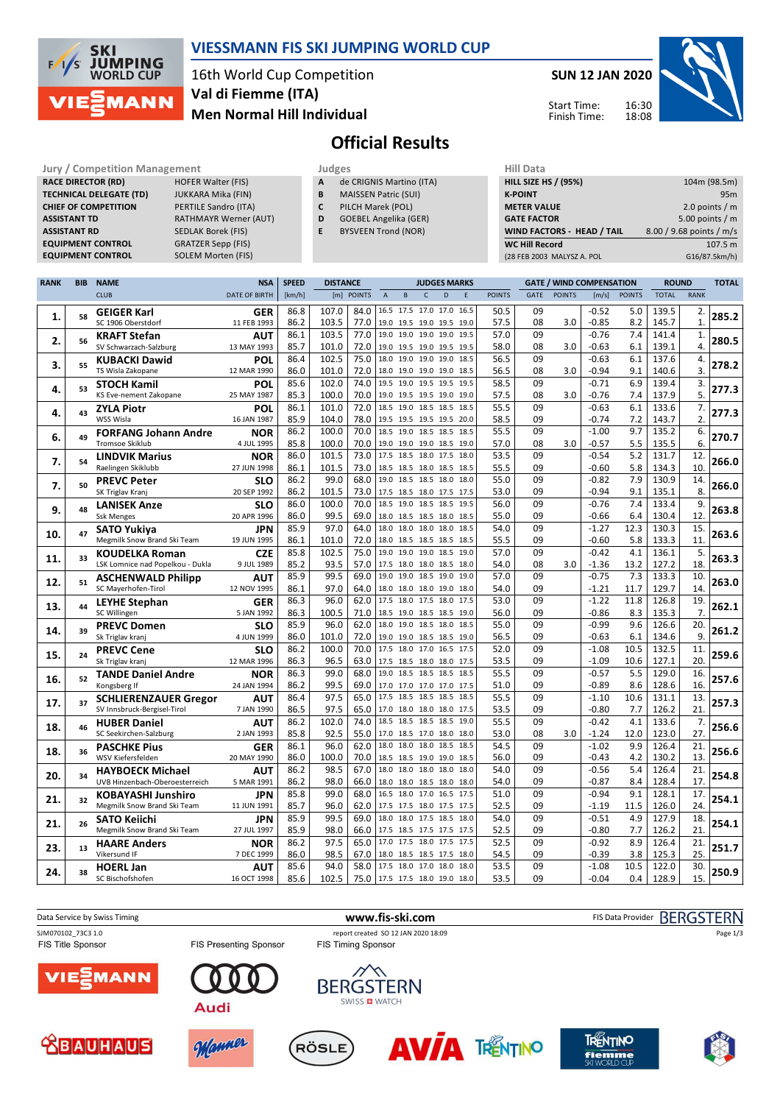

#### **VIESSMANN FIS SKI JUMPING WORLD CUP**

16th World Cup Competition **Men Normal Hill Individual Val di Fiemme (ITA)**

**SUN 12 JAN 2020**

Start Time: Finish Time:



## **Official Results**

**RACE DIRECTOR (RD) TECHNICAL DELEGATE (TD)** JUKKARA Mika (FIN)<br>**CHIEF OF COMPETITION** PERTILE Sandro (ITA) **CHIEF OF COMPETITION ASSISTANT RD** SEDLAK Borek (FIS) **EQUIPMENT CONTROL** 

**Jury / Competition Management Judges Hill Data**<br> **RACE DIRECTOR (RD)** HOFER Walter (FIS) **A** de CRIGNIS Martino (ITA) **HILL SIZE H ASSISTANT TD** RATHMAYR Werner (AUT) **EQUIPMENT CONTROL GRATZER Sepp (FIS)**<br>**EQUIPMENT CONTROL SOLEM Morten (FIS)** 

|  |  | . . |  |  |
|--|--|-----|--|--|
|  |  |     |  |  |

- **A** de CRIGNIS Martino (ITA)
- **B** MAISSEN Patric (SUI)<br>**C** PILCH Marek (POL) **C** PILCH Marek (POL)
- **D** GOEBEL Angelika (GER)
- **E** BYSVEEN Trond (NOR)

| <b>HILL SIZE HS / (95%)</b> | 104m (98.5m)             |
|-----------------------------|--------------------------|
| <b>K-POINT</b>              | 95m                      |
| <b>METER VALUE</b>          | 2.0 points $/m$          |
| <b>GATE FACTOR</b>          | 5.00 points $/m$         |
| WIND FACTORS - HEAD / TAIL  | 8.00 / 9.68 points / m/s |
| <b>WC Hill Record</b>       | 107.5 m                  |
| (28 FEB 2003 MALYSZ A. POL  | G16/87.5km/h)            |

| <b>RANK</b> | <b>BIB</b> | <b>NAME</b>                                                 | <b>NSA</b>                | <b>SPEED</b> | <b>DISTANCE</b> |                               |                          |                     |              | <b>JUDGES MARKS</b>                                  |      |               |          | <b>GATE / WIND COMPENSATION</b> |                    |               | <b>ROUND</b>   |                | <b>TOTAL</b> |
|-------------|------------|-------------------------------------------------------------|---------------------------|--------------|-----------------|-------------------------------|--------------------------|---------------------|--------------|------------------------------------------------------|------|---------------|----------|---------------------------------|--------------------|---------------|----------------|----------------|--------------|
|             |            | <b>CLUB</b>                                                 | <b>DATE OF BIRTH</b>      | [km/h]       |                 | [m] POINTS                    | $\mathsf A$              | B                   | $\mathsf{C}$ | D                                                    | E    | <b>POINTS</b> | GATE     | <b>POINTS</b>                   | [m/s]              | <b>POINTS</b> | <b>TOTAL</b>   | <b>RANK</b>    |              |
|             |            | <b>GEIGER Karl</b>                                          | <b>GER</b>                | 86.8         | 107.0           | 84.0                          |                          |                     |              | 16.5 17.5 17.0 17.0 16.5                             |      | 50.5          | 09       |                                 | $-0.52$            | 5.0           | 139.5          | 2.             |              |
| 1.          | 58         | SC 1906 Oberstdorf                                          | 11 FEB 1993               | 86.2         | 103.5           | 77.0                          |                          |                     |              | 19.0 19.5 19.0 19.5 19.0                             |      | 57.5          | 08       | 3.0                             | $-0.85$            | 8.2           | 145.7          | $\mathbf{1}$   | 285.2        |
|             |            | <b>KRAFT Stefan</b>                                         | <b>AUT</b>                | 86.1         | 103.5           | 77.0                          | 19.0 19.0 19.0 19.0      |                     |              |                                                      | 19.5 | 57.0          | 09       |                                 | $-0.76$            | 7.4           | 141.4          | 1.             |              |
| 2.          | 56         | SV Schwarzach-Salzburg                                      | 13 MAY 1993               | 85.7         | 101.0           | 72.0                          |                          | 19.0 19.5 19.0 19.5 |              |                                                      | 19.5 | 58.0          | 08       | 3.0                             | $-0.63$            | 6.1           | 139.1          | $\overline{4}$ | 280.5        |
|             |            | <b>KUBACKI Dawid</b>                                        | POL                       | 86.4         | 102.5           | 75.0                          |                          | 18.0 19.0 19.0 19.0 |              |                                                      | 18.5 | 56.5          | 09       |                                 | $-0.63$            | 6.1           | 137.6          | 4.             |              |
| 3.          | 55         | TS Wisla Zakopane                                           | 12 MAR 1990               | 86.0         | 101.0           | 72.0                          |                          | 18.0 19.0 19.0 19.0 |              |                                                      | 18.5 | 56.5          | 08       | 3.0                             | $-0.94$            | 9.1           | 140.6          | 3.             | 278.2        |
|             |            | <b>STOCH Kamil</b>                                          | POL                       | 85.6         | 102.0           | 74.0                          |                          | 19.5 19.0 19.5 19.5 |              |                                                      | 19.5 | 58.5          | 09       |                                 | $-0.71$            | 6.9           | 139.4          | 3.             |              |
| 4.          | 53         | KS Eve-nement Zakopane                                      | 25 MAY 1987               | 85.3         | 100.0           | 70.0                          |                          |                     |              | 19.0 19.5 19.5 19.0 19.0                             |      | 57.5          | 08       | 3.0                             | -0.76              | 7.4           | 137.9          | 5.             | 277.3        |
|             |            | <b>ZYLA Piotr</b>                                           | POL                       | 86.1         | 101.0           | 72.0                          |                          | 18.5 19.0 18.5 18.5 |              |                                                      | 18.5 | 55.5          | 09       |                                 | $-0.63$            | 6.1           | 133.6          | 7.             |              |
| 4.          | 43         | WSS Wisla                                                   | 16 JAN 1987               | 85.9         | 104.0           | 78.0                          |                          |                     |              | 19.5 19.5 19.5 19.5 20.0                             |      | 58.5          | 09       |                                 | $-0.74$            | 7.2           | 143.7          | 2.             | 277.3        |
|             | 49         | <b>FORFANG Johann Andre</b>                                 | <b>NOR</b>                | 86.2         | 100.0           | 70.0                          |                          |                     |              | 18.5 19.0 18.5 18.5 18.5                             |      | 55.5          | 09       |                                 | $-1.00$            | 9.7           | 135.2          | 6.             | 270.7        |
| 6.          |            | <b>Tromsoe Skiklub</b>                                      | 4 JUL 1995                | 85.8         | 100.0           | 70.0                          |                          |                     |              | 19.0 19.0 19.0 18.5 19.0                             |      | 57.0          | 08       | 3.0                             | $-0.57$            | 5.5           | 135.5          | 6.             |              |
| 7.          | 54         | <b>LINDVIK Marius</b>                                       | <b>NOR</b>                | 86.0         | 101.5           | 73.0                          |                          |                     |              | 17.5 18.5 18.0 17.5 18.0                             |      | 53.5          | 09       |                                 | $-0.54$            | 5.2           | 131.7          | 12.            | 266.0        |
|             |            | Raelingen Skiklubb                                          | 27 JUN 1998               | 86.1         | 101.5           | 73.0                          |                          |                     |              | 18.5 18.5 18.0 18.5 18.5                             |      | 55.5          | 09       |                                 | $-0.60$            | 5.8           | 134.3          | 10.            |              |
| 7.          | 50         | <b>PREVC Peter</b>                                          | <b>SLO</b>                | 86.2         | 99.0            | 68.0                          | 19.0                     | 18.5 18.5 18.0      |              |                                                      | 18.0 | 55.0          | 09       |                                 | $-0.82$            | 7.9           | 130.9          | 14.            | 266.0        |
|             |            | SK Triglav Kranj                                            | 20 SEP 1992               | 86.2         | 101.5           | 73.0                          |                          |                     |              | 17.5 18.5 18.0 17.5 17.5                             |      | 53.0          | 09       |                                 | $-0.94$            | 9.1           | 135.1          | 8.             |              |
| 9.          | 48         | <b>LANISEK Anze</b>                                         | <b>SLO</b>                | 86.0         | 100.0           | 70.0                          |                          |                     |              | 18.5 19.0 18.5 18.5 19.5                             |      | 56.0          | 09       |                                 | $-0.76$            | 7.4           | 133.4          | 9.             | 263.8        |
|             |            | <b>Ssk Menges</b>                                           | 20 APR 1996               | 86.0         | 99.5            | 69.0                          |                          |                     |              | 18.0 18.5 18.5 18.0 18.5                             |      | 55.0          | 09       |                                 | $-0.66$            | 6.4           | 130.4          | 12.            |              |
| 10.         | 47         | <b>SATO Yukiva</b>                                          | JPN                       | 85.9         | 97.0            | 64.0                          | 18.0 18.0 18.0 18.0      |                     |              |                                                      | 18.5 | 54.0          | 09       |                                 | $-1.27$            | 12.3          | 130.3          | 15.            | 263.6        |
|             |            | Megmilk Snow Brand Ski Team                                 | 19 JUN 1995               | 86.1         | 101.0           | 72.0                          |                          |                     |              | 18.0 18.5 18.5 18.5 18.5                             |      | 55.5          | 09       |                                 | $-0.60$            | 5.8           | 133.3          | 11.            |              |
| 11.         | 33         | <b>KOUDELKA Roman</b>                                       | <b>CZE</b>                | 85.8         | 102.5           | 75.0                          | 19.0                     | 19.0 19.0 18.5      |              |                                                      | 19.0 | 57.0          | 09       |                                 | $-0.42$            | 4.1           | 136.1          | 5.             | 263.3        |
|             |            | LSK Lomnice nad Popelkou - Dukla                            | 9 JUL 1989                | 85.2         | 93.5            | 57.0                          | 17.5 18.0 18.0 18.5 18.0 |                     |              |                                                      |      | 54.0          | 08       | 3.0                             | $-1.36$            | 13.2          | 127.2          | 18.            |              |
| 12.         | 51         | <b>ASCHENWALD Philipp</b>                                   | AUT                       | 85.9         | 99.5            | 69.0                          | 19.0                     | 19.0 18.5 19.0      |              |                                                      | 19.0 | 57.0          | 09       |                                 | $-0.75$            | 7.3           | 133.3          | 10.            | 263.0        |
|             |            | SC Mayerhofen-Tirol                                         | 12 NOV 1995               | 86.1         | 97.0            | 64.0                          |                          |                     |              | 18.0 18.0 18.0 19.0 18.0                             |      | 54.0          | 09       |                                 | $-1.21$            | 11.7          | 129.7          | 14.            |              |
| 13.         | 44         | <b>LEYHE Stephan</b>                                        | GER                       | 86.3         | 96.0            | 62.0                          | 17.5 18.0 17.5 18.0      |                     |              |                                                      | 17.5 | 53.0          | 09       |                                 | $-1.22$            | 11.8          | 126.8          | 19.            | 262.1        |
|             |            | SC Willingen                                                | 5 JAN 1992                | 86.3         | 100.5           | 71.0                          |                          |                     |              | 18.5 19.0 18.5 18.5 19.0                             |      | 56.0          | 09       |                                 | $-0.86$            | 8.3           | 135.3          | 7.             |              |
| 14.         | 39         | <b>PREVC Domen</b>                                          | <b>SLO</b>                | 85.9         | 96.0            | 62.0                          | 18.0                     | 19.0 18.5 18.0      |              |                                                      | 18.5 | 55.0          | 09       |                                 | $-0.99$            | 9.6           | 126.6          | 20.            | 261.2        |
|             |            | Sk Triglav kranj                                            | 4 JUN 1999                | 86.0<br>86.2 | 101.0<br>100.0  | 72.0<br>70.0                  |                          |                     |              | 19.0 19.0 18.5 18.5 19.0<br>17.5 18.0 17.0 16.5 17.5 |      | 56.5<br>52.0  | 09<br>09 |                                 | $-0.63$<br>$-1.08$ | 6.1<br>10.5   | 134.6          | 9.<br>11.      |              |
| 15.         | 24         | <b>PREVC Cene</b>                                           | <b>SLO</b><br>12 MAR 1996 | 86.3         | 96.5            | 63.0                          |                          |                     |              | 17.5 18.5 18.0 18.0 17.5                             |      | 53.5          | 09       |                                 | $-1.09$            | 10.6          | 132.5<br>127.1 | 20.            | 259.6        |
|             |            | Sk Triglav kranj                                            |                           | 86.3         | 99.0            | 68.0                          | 19.0                     |                     |              | 18.5 18.5 18.5 18.5                                  |      | 55.5          | 09       |                                 | $-0.57$            | 5.5           | 129.0          | 16.            |              |
| 16.         | 52         | <b>TANDE Daniel Andre</b><br>Kongsberg If                   | <b>NOR</b><br>24 JAN 1994 | 86.2         | 99.5            | 69.0                          |                          |                     |              | 17.0 17.0 17.0 17.0 17.5                             |      | 51.0          | 09       |                                 | $-0.89$            | 8.6           | 128.6          | 16.            | 257.6        |
|             |            |                                                             |                           | 86.4         | 97.5            | 65.0                          |                          |                     |              | 17.5 18.5 18.5 18.5 18.5                             |      | 55.5          | 09       |                                 | $-1.10$            | 10.6          | 131.1          | 13.            |              |
| 17.         | 37         | <b>SCHLIERENZAUER Gregor</b><br>SV Innsbruck-Bergisel-Tirol | AUT<br>7 JAN 1990         | 86.5         | 97.5            | 65.0                          |                          |                     |              | 17.0 18.0 18.0 18.0 17.5                             |      | 53.5          | 09       |                                 | $-0.80$            | 7.7           | 126.2          | 21             | 257.3        |
|             |            | <b>HUBER Daniel</b>                                         | <b>AUT</b>                | 86.2         | 102.0           | 74.0                          |                          |                     |              | 18.5 18.5 18.5 18.5 19.0                             |      | 55.5          | 09       |                                 | $-0.42$            | 4.1           | 133.6          | 7.             |              |
| 18.         | 46         | SC Seekirchen-Salzburg                                      | 2 JAN 1993                | 85.8         | 92.5            | 55.0                          |                          |                     |              | 17.0 18.5 17.0 18.0 18.0                             |      | 53.0          | 08       | 3.0                             | $-1.24$            | 12.0          | 123.0          | 27.            | 256.6        |
|             |            | <b>PASCHKE Pius</b>                                         | <b>GER</b>                | 86.1         | 96.0            | 62.0                          |                          | 18.0 18.0 18.0 18.5 |              |                                                      | 18.5 | 54.5          | 09       |                                 | $-1.02$            | 9.9           | 126.4          | 21.            |              |
| 18.         | 36         | WSV Kiefersfelden                                           | 20 MAY 1990               | 86.0         | 100.0           | 70.0                          | 18.5 18.5 19.0 19.0 18.5 |                     |              |                                                      |      | 56.0          | 09       |                                 | $-0.43$            | 4.2           | 130.2          | 13.            | 256.6        |
|             |            | <b>HAYBOECK Michael</b>                                     | AUT                       | 86.2         | 98.5            | 67.0                          | 18.0                     | 18.0 18.0 18.0      |              |                                                      | 18.0 | 54.0          | 09       |                                 | $-0.56$            | 5.4           | 126.4          | 21.            |              |
| 20.         | 34         | UVB Hinzenbach-Oberoesterreich                              | 5 MAR 1991                | 86.2         | 98.0            | 66.0                          |                          |                     |              | 18.0 18.0 18.5 18.0 18.0                             |      | 54.0          | 09       |                                 | $-0.87$            | 8.4           | 128.4          | 17.            | 254.8        |
|             |            | <b>KOBAYASHI Junshiro</b>                                   | <b>JPN</b>                | 85.8         | 99.0            | 68.0                          |                          |                     |              | 16.5 18.0 17.0 16.5 17.5                             |      | 51.0          | 09       |                                 | $-0.94$            | 9.1           | 128.1          | 17.            |              |
| 21.         | 32         | Megmilk Snow Brand Ski Team                                 | 11 JUN 1991               | 85.7         | 96.0            | 62.0                          |                          |                     |              | 17.5 17.5 18.0 17.5 17.5                             |      | 52.5          | 09       |                                 | $-1.19$            | 11.5          | 126.0          | 24.            | 254.1        |
| 21.         | 26         | <b>SATO Keiichi</b>                                         | JPN                       | 85.9         | 99.5            | 69.0                          |                          |                     |              | 18.0 18.0 17.5 18.5 18.0                             |      | 54.0          | 09       |                                 | $-0.51$            | 4.9           | 127.9          | 18.            | 254.1        |
|             |            | Megmilk Snow Brand Ski Team                                 | 27 JUL 1997               | 85.9         | 98.0            | 66.0                          |                          |                     |              | 17.5 18.5 17.5 17.5 17.5                             |      | 52.5          | 09       |                                 | $-0.80$            | 7.7           | 126.2          | 21             |              |
| 23.         | 13         | <b>HAARE Anders</b>                                         | <b>NOR</b>                | 86.2         | 97.5            | 65.0                          |                          | 17.0 17.5 18.0 17.5 |              |                                                      | 17.5 | 52.5          | 09       |                                 | $-0.92$            | 8.9           | 126.4          | 21.            | 251.7        |
|             |            | Vikersund IF                                                | 7 DEC 1999                | 86.0         | 98.5            | 67.0                          |                          |                     |              | 18.0 18.5 18.5 17.5 18.0                             |      | 54.5          | 09       |                                 | -0.39              | 3.8           | 125.3          | 25.            |              |
| 24.         | 38         | <b>HOERL Jan</b>                                            | <b>AUT</b>                | 85.6         | 94.0            | 58.0                          | 17.5 18.0 17.0 18.0      |                     |              |                                                      | 18.0 | 53.5          | 09       |                                 | $-1.08$            | 10.5          | 122.0          | 30.            | 250.9        |
|             |            | SC Bischofshofen                                            | 16 OCT 1998               | 85.6         | 102.5           | 75.0 17.5 17.5 18.0 19.0 18.0 |                          |                     |              |                                                      |      | 53.5          | 09       |                                 | $-0.04$            | 0.4           | 128.9          | 15.            |              |













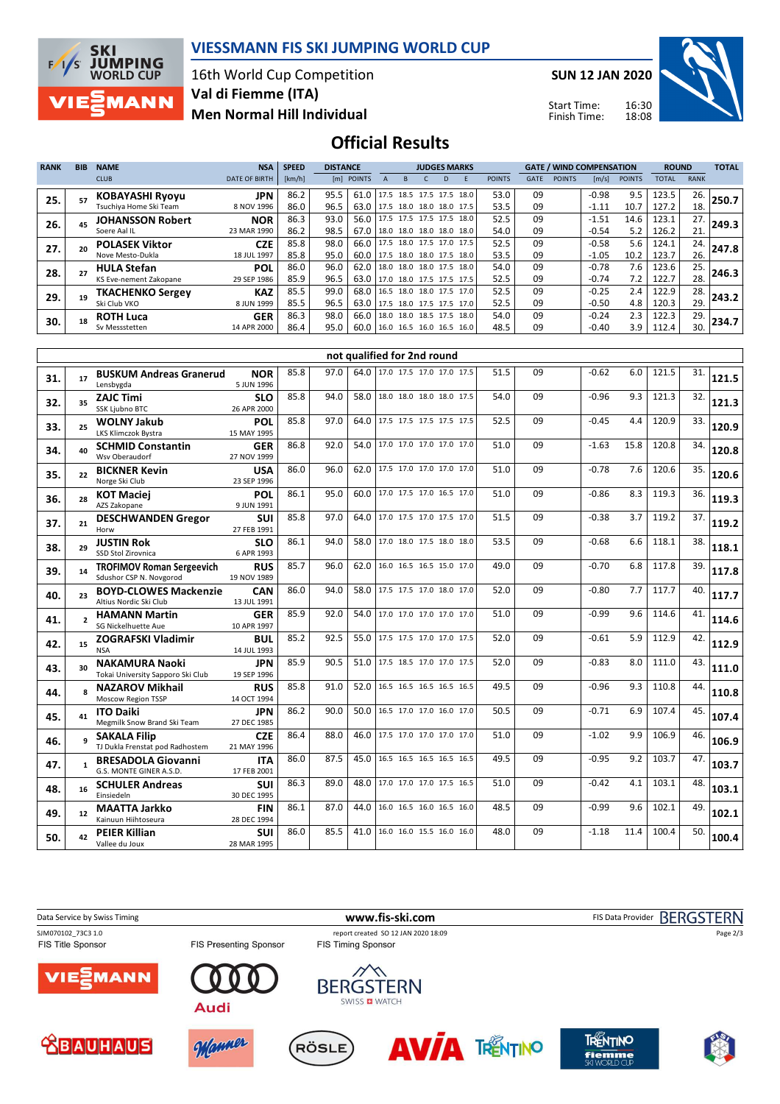

#### **VIESSMANN FIS SKI JUMPING WORLD CUP**

16th World Cup Competition **Men Normal Hill Individual Val di Fiemme (ITA)**

**SUN 12 JAN 2020**

Start Time: Finish Time:



**Official Results**

| <b>RANK</b> | <b>BIB</b> | <b>NAME</b>             | <b>NSA</b>           | <b>SPEED</b> | <b>DISTANCE</b> |                                 |                     | <b>JUDGES MARKS</b> |                          |               |             | <b>GATE / WIND COMPENSATION</b> |         |               | <b>ROUND</b> |             | <b>TOTAL</b> |
|-------------|------------|-------------------------|----------------------|--------------|-----------------|---------------------------------|---------------------|---------------------|--------------------------|---------------|-------------|---------------------------------|---------|---------------|--------------|-------------|--------------|
|             |            | <b>CLUB</b>             | <b>DATE OF BIRTH</b> | [km/h]       |                 | [m] POINTS                      |                     |                     |                          | <b>POINTS</b> | <b>GATE</b> | <b>POINTS</b>                   | [m/s]   | <b>POINTS</b> | <b>TOTAL</b> | <b>RANK</b> |              |
| 25.         |            | <b>KOBAYASHI Ryoyu</b>  | JPN.                 | 86.2         | 95.5            | 61.0                            |                     |                     | 17.5 18.5 17.5 17.5 18.0 | 53.0          | 09          |                                 | $-0.98$ | 9.5           | 123.5        | 26.         | 250.7        |
|             |            | Tsuchiya Home Ski Team  | 8 NOV 1996           | 86.0         | 96.5            | 63.0                            |                     |                     | 17.5 18.0 18.0 18.0 17.5 | 53.5          | 09          |                                 | $-1.11$ | 10.7          | 127.2        | 18.         |              |
| 26.         |            | <b>JOHANSSON Robert</b> | <b>NOR</b>           | 86.3         | 93.0            | 56.0                            |                     |                     | 17.5 17.5 17.5 17.5 18.0 | 52.5          | 09          |                                 | $-1.51$ | 14.6          | 123.1        | 27.         | 249.3        |
|             |            | Soere Aal IL            | 23 MAR 1990          | 86.2         | 98.5            | 67.0                            |                     |                     | 18.0 18.0 18.0 18.0 18.0 | 54.0          | 09          |                                 | $-0.54$ | 5.2           | 126.2        | 21.         |              |
| 27.         |            | <b>POLASEK Viktor</b>   | <b>CZE</b>           | 85.8         | 98.0            | 66.0                            |                     |                     | 17.5 18.0 17.5 17.0 17.5 | 52.5          | 09          |                                 | $-0.58$ | 5.6           | 124.1        | 24.         | 247.8        |
|             |            | Nove Mesto-Dukla        | 18 JUL 1997          | 85.8         | 95.0            | 60.0   17.5 18.0 18.0 17.5 18.0 |                     |                     |                          | 53.5          | 09          |                                 | $-1.05$ | 10.2          | 123.7        | 26.         |              |
| 28.         |            | <b>HULA Stefan</b>      | <b>POL</b>           | 86.0         | 96.0            | 62.0                            |                     |                     | 18.0 18.0 18.0 17.5 18.0 | 54.0          | 09          |                                 | $-0.78$ | 7.6           | 123.6        | 25.         | 246.3        |
|             |            | KS Eve-nement Zakopane  | 29 SEP 1986          | 85.9         | 96.5            | 63.0                            |                     |                     | 17.0 18.0 17.5 17.5 17.5 | 52.5          | 09          |                                 | $-0.74$ | 7.2           | 122.7        | 28.         |              |
| 29.         | 19         | <b>TKACHENKO Sergev</b> | <b>KAZ</b>           | 85.5         | 99.0            | 68.0                            |                     |                     | 16.5 18.0 18.0 17.5 17.0 | 52.5          | 09          |                                 | $-0.25$ | 2.4           | 122.9        | 28.         | 243.2        |
|             |            | Ski Club VKO            | 8 JUN 1999           | 85.5         | 96.5            | 63.0                            |                     |                     | 17.5 18.0 17.5 17.5 17.0 | 52.5          | 09          |                                 | $-0.50$ | 4.8           | 120.3        | 29.         |              |
| 30.         | 18         | <b>ROTH Luca</b>        | <b>GER</b>           | 86.3         | 98.0            | 66.0                            | 18.0 18.0 18.5 17.5 |                     | 18.0                     | 54.0          | 09          |                                 | $-0.24$ | 2.3           | 122.3        | 29.         | 234.7        |
|             |            | Sv Messstetten          | 14 APR 2000          | 86.4         | 95.0            | 60.0                            |                     |                     | 16.0 16.5 16.0 16.5 16.0 | 48.5          | 09          |                                 | $-0.40$ | 3.9           | 112.4        | 30.         |              |

|     |                          |                                                             |                           |      |      |      | not qualified for 2nd round   |      |    |         |      |       |     |       |
|-----|--------------------------|-------------------------------------------------------------|---------------------------|------|------|------|-------------------------------|------|----|---------|------|-------|-----|-------|
| 31. | 17                       | <b>BUSKUM Andreas Granerud</b><br>Lensbygda                 | NOR<br>5 JUN 1996         | 85.8 | 97.0 |      | 64.0 17.0 17.5 17.0 17.0 17.5 | 51.5 | 09 | $-0.62$ | 6.0  | 121.5 | 31. | 121.5 |
| 32. | 35                       | <b>ZAJC Timi</b><br><b>SSK Liubno BTC</b>                   | <b>SLO</b><br>26 APR 2000 | 85.8 | 94.0 | 58.0 | 18.0 18.0 18.0 18.0 17.5      | 54.0 | 09 | $-0.96$ | 9.3  | 121.3 | 32. | 121.3 |
| 33. | 25                       | <b>WOLNY Jakub</b><br>LKS Klimczok Bystra                   | POL<br>15 MAY 1995        | 85.8 | 97.0 | 64.0 | 17.5 17.5 17.5 17.5 17.5      | 52.5 | 09 | $-0.45$ | 4.4  | 120.9 | 33. | 120.9 |
| 34. | 40                       | <b>SCHMID Constantin</b><br>Wsv Oberaudorf                  | <b>GER</b><br>27 NOV 1999 | 86.8 | 92.0 | 54.0 | 17.0 17.0 17.0 17.0 17.0      | 51.0 | 09 | $-1.63$ | 15.8 | 120.8 | 34. | 120.8 |
| 35. | 22                       | <b>BICKNER Kevin</b><br>Norge Ski Club                      | <b>USA</b><br>23 SEP 1996 | 86.0 | 96.0 | 62.0 | 17.5 17.0 17.0 17.0 17.0      | 51.0 | 09 | $-0.78$ | 7.6  | 120.6 | 35. | 120.6 |
| 36. | 28                       | <b>KOT Maciei</b><br>AZS Zakopane                           | POL<br>9 JUN 1991         | 86.1 | 95.0 | 60.0 | 17.0 17.5 17.0 16.5 17.0      | 51.0 | 09 | $-0.86$ | 8.3  | 119.3 | 36. | 119.3 |
| 37. | 21                       | <b>DESCHWANDEN Gregor</b><br>Horw                           | <b>SUI</b><br>27 FEB 1991 | 85.8 | 97.0 | 64.0 | 17.0 17.5 17.0 17.5 17.0      | 51.5 | 09 | $-0.38$ | 3.7  | 119.2 | 37. | 119.2 |
| 38. | 29                       | <b>JUSTIN Rok</b><br>SSD Stol Zirovnica                     | <b>SLO</b><br>6 APR 1993  | 86.1 | 94.0 | 58.0 | 17.0 18.0 17.5 18.0 18.0      | 53.5 | 09 | $-0.68$ | 6.6  | 118.1 | 38. | 118.1 |
| 39. | 14                       | <b>TROFIMOV Roman Sergeevich</b><br>Sdushor CSP N. Novgorod | <b>RUS</b><br>19 NOV 1989 | 85.7 | 96.0 | 62.0 | 16.0 16.5 16.5 15.0 17.0      | 49.0 | 09 | $-0.70$ | 6.8  | 117.8 | 39. | 117.8 |
| 40. | 23                       | <b>BOYD-CLOWES Mackenzie</b><br>Altius Nordic Ski Club      | <b>CAN</b><br>13 JUL 1991 | 86.0 | 94.0 | 58.0 | 17.5 17.5 17.0 18.0 17.0      | 52.0 | 09 | $-0.80$ | 7.7  | 117.7 | 40. | 117.7 |
| 41. | $\overline{\phantom{a}}$ | <b>HAMANN Martin</b><br>SG Nickelhuette Aue                 | <b>GER</b><br>10 APR 1997 | 85.9 | 92.0 | 54.0 | 17.0 17.0 17.0 17.0 17.0      | 51.0 | 09 | $-0.99$ | 9.6  | 114.6 | 41. | 114.6 |
| 42. | 15                       | <b>ZOGRAFSKI Vladimir</b><br><b>NSA</b>                     | <b>BUL</b><br>14 JUL 1993 | 85.2 | 92.5 |      | 55.0 17.5 17.5 17.0 17.0 17.5 | 52.0 | 09 | $-0.61$ | 5.9  | 112.9 | 42. | 112.9 |
| 43. | 30                       | <b>NAKAMURA Naoki</b><br>Tokai University Sapporo Ski Club  | JPN<br>19 SEP 1996        | 85.9 | 90.5 | 51.0 | 17.5 18.5 17.0 17.0 17.5      | 52.0 | 09 | $-0.83$ | 8.0  | 111.0 | 43. | 111.0 |
| 44. | $\mathbf{R}$             | <b>NAZAROV Mikhail</b><br>Moscow Region TSSP                | <b>RUS</b><br>14 OCT 1994 | 85.8 | 91.0 | 52.0 | 16.5 16.5 16.5 16.5 16.5      | 49.5 | 09 | $-0.96$ | 9.3  | 110.8 | 44. | 110.8 |
| 45. | 41                       | <b>ITO Daiki</b><br>Megmilk Snow Brand Ski Team             | <b>JPN</b><br>27 DEC 1985 | 86.2 | 90.0 | 50.0 | 16.5 17.0 17.0 16.0 17.0      | 50.5 | 09 | $-0.71$ | 6.9  | 107.4 | 45. | 107.4 |
| 46. | ۹                        | <b>SAKALA Filip</b><br>TJ Dukla Frenstat pod Radhostem      | <b>CZE</b><br>21 MAY 1996 | 86.4 | 88.0 | 46.0 | 17.5 17.0 17.0 17.0 17.0      | 51.0 | 09 | $-1.02$ | 9.9  | 106.9 | 46. | 106.9 |
| 47. | 1                        | <b>BRESADOLA Giovanni</b><br>G.S. MONTE GINER A.S.D.        | <b>ITA</b><br>17 FEB 2001 | 86.0 | 87.5 | 45.0 | 16.5 16.5 16.5 16.5 16.5      | 49.5 | 09 | $-0.95$ | 9.2  | 103.7 | 47. | 103.7 |
| 48. | 16                       | <b>SCHULER Andreas</b><br>Einsiedeln                        | <b>SUI</b><br>30 DEC 1995 | 86.3 | 89.0 | 48.0 | 17.0 17.0 17.0 17.5 16.5      | 51.0 | 09 | $-0.42$ | 4.1  | 103.1 | 48. | 103.1 |
| 49. | 12                       | <b>MAATTA Jarkko</b><br>Kainuun Hiihtoseura                 | <b>FIN</b><br>28 DEC 1994 | 86.1 | 87.0 | 44.0 | 16.0 16.5 16.0 16.5 16.0      | 48.5 | 09 | $-0.99$ | 9.6  | 102.1 | 49. | 102.1 |
| 50. | 42                       | <b>PEIER Killian</b><br>Vallee du Joux                      | <b>SUI</b><br>28 MAR 1995 | 86.0 | 85.5 | 41.0 | 16.0 16.0 15.5 16.0 16.0      | 48.0 | 09 | $-1.18$ | 11.4 | 100.4 | 50. | 100.4 |

Data Service by Swiss Timing **WWW.fis-ski.com www.fis-ski.com** FIS Data Provider BERGSTERN

ΊE

FIS Presenting Sponsor



**Audi** 







**MANN** 











Page 2/3